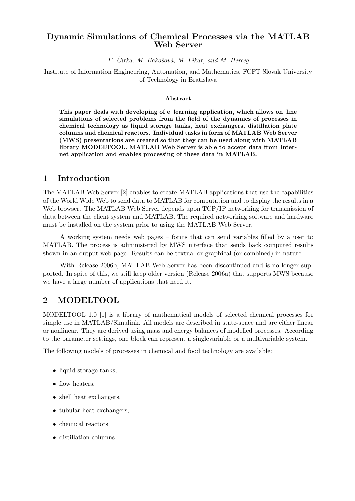# Dynamic Simulations of Chemical Processes via the MATLAB Web Server

 $L'$ . Čirka, M. Bakošová, M. Fikar, and M. Herceg

Institute of Information Engineering, Automation, and Mathematics, FCFT Slovak University of Technology in Bratislava

### Abstract

This paper deals with developing of e–learning application, which allows on–line simulations of selected problems from the field of the dynamics of processes in chemical technology as liquid storage tanks, heat exchangers, distillation plate columns and chemical reactors. Individual tasks in form of MATLAB Web Server (MWS) presentations are created so that they can be used along with MATLAB library MODELTOOL. MATLAB Web Server is able to accept data from Internet application and enables processing of these data in MATLAB.

# 1 Introduction

The MATLAB Web Server [2] enables to create MATLAB applications that use the capabilities of the World Wide Web to send data to MATLAB for computation and to display the results in a Web browser. The MATLAB Web Server depends upon TCP/IP networking for transmission of data between the client system and MATLAB. The required networking software and hardware must be installed on the system prior to using the MATLAB Web Server.

A working system needs web pages – forms that can send variables filled by a user to MATLAB. The process is administered by MWS interface that sends back computed results shown in an output web page. Results can be textual or graphical (or combined) in nature.

With Release 2006b, MATLAB Web Server has been discontinued and is no longer supported. In spite of this, we still keep older version (Release 2006a) that supports MWS because we have a large number of applications that need it.

# 2 MODELTOOL

MODELTOOL 1.0 [1] is a library of mathematical models of selected chemical processes for simple use in MATLAB/Simulink. All models are described in state-space and are either linear or nonlinear. They are derived using mass and energy balances of modelled processes. According to the parameter settings, one block can represent a singlevariable or a multivariable system.

The following models of processes in chemical and food technology are available:

- liquid storage tanks,
- flow heaters,
- shell heat exchangers,
- tubular heat exchangers,
- chemical reactors,
- distillation columns.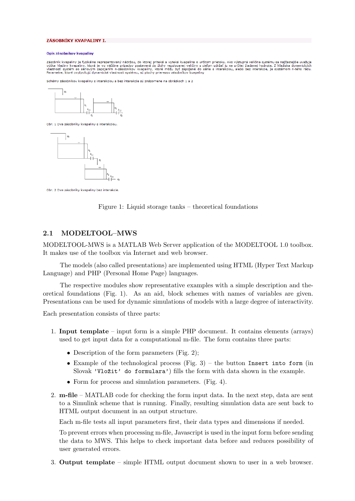#### ZÁSOBNÍKY KVAPALINY I.

#### Opis zásobníkov kvapaliny

Zásobník kvapaliny je fyzikálne reprezentovaný nádržou, do ktorej priteká a vyteká kvapalina o určitom prietoku. Ako výstupná veličina systému sa najčastejšie uvažuje<br>výška hladiny kvapaliny, ktorá je vo väčšine prípadov p

Schémy zásobníkov kvapaliny s interakciou a bez interakcie sú znázornene na obrázkoch 1 a 2



Obr. 1 Dva zásobníky kvapaliny s interakciou.



Obr. 2 Dva zásobníky kvapaliny bez interakcie

Figure 1: Liquid storage tanks – theoretical foundations

## 2.1 MODELTOOL–MWS

MODELTOOL-MWS is a MATLAB Web Server application of the MODELTOOL 1.0 toolbox. It makes use of the toolbox via Internet and web browser.

The models (also called presentations) are implemented using HTML (Hyper Text Markup Language) and PHP (Personal Home Page) languages.

The respective modules show representative examples with a simple description and theoretical foundations (Fig. 1). As an aid, block schemes with names of variables are given. Presentations can be used for dynamic simulations of models with a large degree of interactivity.

Each presentation consists of three parts:

- 1. Input template input form is a simple PHP document. It contains elements (arrays) used to get input data for a computational m-file. The form contains three parts:
	- Description of the form parameters (Fig. 2);
	- Example of the technological process  $(Fig. 3)$  the button Insert into form (in Slovak 'Vlo $\tilde{z}$ it' do formulara') fills the form with data shown in the example.
	- Form for process and simulation parameters. (Fig. 4).
- 2. m-file MATLAB code for checking the form input data. In the next step, data are sent to a Simulink scheme that is running. Finally, resulting simulation data are sent back to HTML output document in an output structure.

Each m-file tests all input parameters first, their data types and dimensions if needed.

To prevent errors when processing m-file, Javascript is used in the input form before sending the data to MWS. This helps to check important data before and reduces possibility of user generated errors.

3. Output template – simple HTML output document shown to user in a web browser.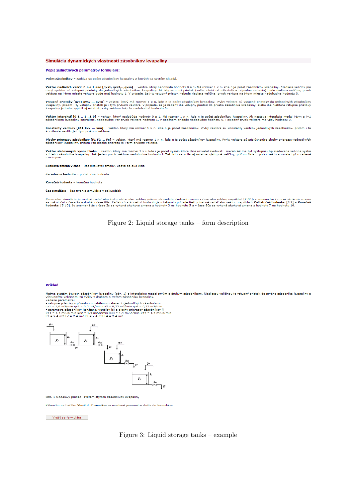#### Simulácia dvnamických vlastností zásobníkov kvapaliny

#### Popis jednotlivých parametrov formulára:

Počet zásobníkov - zadáva sa počet zásobníkov kvapaliny z ktorých sa systém skladá.

**Vektor riadiacich veličín 0-nie 1-ano [qvs1, qvs2,..,qvsn]** – vektor, ktorý nadobúda hodnoty 0 a 1. Má rozmer 1 x n, kde n je počet zásobníkov kvapaliny. Riadiace veličiny pre<br>daný systém sú vstupné prietoky do jednotlivý

**Vstupné prietoky [qvs1 qvs2 ... qvsn]** – vektor, ktorý má rozmer 1 x n, kde n je počet zásobníkov kvapaliny. Prvky vektora sú vstupné prietoky do jednotlivých zásobníkov<br>kvapaliny, pričom i-ty vstupný prietok je i-tym prv

Vektor interakcií [0 1 .. 1 ..1 0] - vektor, ktorý nadobúda hodnoty 0 a 1. Má rozmer 1 x n, kde n je počet zásobníkov kvapaliny. Ak nastáva interakcia medzi i-tym a i+1<br>zásobníkom kvapaliny interakcia, nadobudne i-ty prvok

**Konštanty ventilov [k11 k22 ... knn]** – vektor, ktorý má rozmer 1 x n, kde n je počet zásobníkov. Prvky vektora sú konštanty ventilov jednotlivých zásobníkov, pričom i-ta<br>konštanta ventilu je i-tym prvkom vektora.

Plochy prierezov zásobníkov [F1 F2 ... Fn] – vektor, ktorý má rozmer 1 x n, kde n je počet zásobníkov kvapaliny. Prvky vektora sú prislúchajúce plochy prierezov jednotlivých<br>zásobníkov kvapaliny, pričom i-ta plocha prierez

Vektor sledovaných výšok hladín – vektor, ktorý má rozmer 1 x r, kde r je počet výšok, ktoré chce užívateľ sledovať - merať. Ak má byť výstupná, t.j. sledovaná veličina výška<br>Z i-teho zásobníka kvapaliny, tak jeden prvok v vzostupne.

Skoková zmena v čase - čas skokovej zmeny, udáva sa ako číslo

Začiatočná hodnota - počiatočná hodnota

Konečná hodnota – konečná hodnota

Čas simulácie - čas trvania simulácie v sekundách

Parametre simulácie je možné zadať ako číslo, alebo ako vektor, pričom ak zadáte skokovú zmenu v čase ako vektor, napríklad [2 80], znamená to, že prvá skoková zmena<br>sa uskutoční v čase 2s a druhá v čase 80s. Začiatoců a k

Figure 2: Liquid storage tanks – form description

#### Príklad

Majme systém štyroch zásobníkov kvapaliny (obr. 1) s interakciou medzi prvým a druhým zásobníkom. Riadiacou veličinou je vstupný prietok do prvého zásobníka kvapaliny a výstupným veličinami sú výšky v druhom a trefom zásob



Obr. 1 Modelový príklad: systém štyroch zásobníkov kvapaliny

Kliknutím na tlačitko Vloziť do formulára sa uvedené parametre vložia do formulára.

Vložiť do formulára

Figure 3: Liquid storage tanks  $-$  example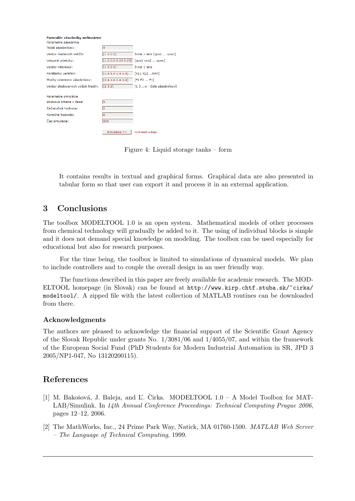| Formulár zásobníky nelineárne<br>Parametre zásobníka |                   |                                         |
|------------------------------------------------------|-------------------|-----------------------------------------|
| Počet zásobníkov:                                    | 14                |                                         |
| Vektor riadiacich veličín:                           | [1000]            | 0-nie 1-ano [gvs1  gvsn]                |
| Vstupné prietoky:                                    |                   | $[1.0 0.5 0.25 0.25]$ [qvs1 qvs2  qvsn] |
| Vektor interakcií:                                   | [1000]            | 0-nie 1-ano                             |
| Konštanty ventilov:                                  | [1.4 1.4 1.4 1.4] | [k11 k22 knn]                           |
| Plochy prierezov zásobnikov:                         | [2.4 2.4 2.4 2.4] | [F1 F2  Fn]                             |
| Vektor sledovaných výšok hladín:                     | [232]             | [1 3 n - čísla zásobníkov]              |
| Parametre simulácie                                  |                   |                                         |
| Skoková zmena v čase:                                | 15                |                                         |
| Začiatočná hodnota:                                  | 12                |                                         |
| Konečná hodnota:                                     | l6                |                                         |
| Čas simulácie:                                       | 200               |                                         |
|                                                      |                   |                                         |
|                                                      | Simulácia >>      | Vvmazať údaie                           |

Figure 4: Liquid storage tanks – form

It contains results in textual and graphical forms. Graphical data are also presented in tabular form so that user can export it and process it in an external application.

# 3 Conclusions

The toolbox MODELTOOL 1.0 is an open system. Mathematical models of other processes from chemical technology will gradually be added to it. The using of individual blocks is simple and it does not demand special knowledge on modeling. The toolbox can be used especially for educational but also for research purposes.

For the time being, the toolbox is limited to simulations of dynamical models. We plan to include controllers and to couple the overall design in an user friendly way.

The functions described in this paper are freely available for academic research. The MOD-ELTOOL homepage (in Slovak) can be found at http://www.kirp.chtf.stuba.sk/~cirka/ modeltool/. A zipped file with the latest collection of MATLAB routines can be downloaded from there.

## Acknowledgments

The authors are pleased to acknowledge the financial support of the Scientific Grant Agency of the Slovak Republic under grants No. 1/3081/06 and 1/4055/07, and within the framework of the European Social Fund (PhD Students for Modern Industrial Automation in SR, JPD 3 2005/NP1-047, No 13120200115).

# References

- [1] M. Bakošová, J. Baleja, and L. Cirka. MODELTOOL  $1.0 A$  Model Toolbox for MAT-LAB/Simulink. In 14th Annual Conference Proceedings: Technical Computing Prague 2006, pages 12–12, 2006.
- [2] The MathWorks, Inc., 24 Prime Park Way, Natick, MA 01760-1500. MATLAB Web Server – The Language of Technical Computing, 1999.